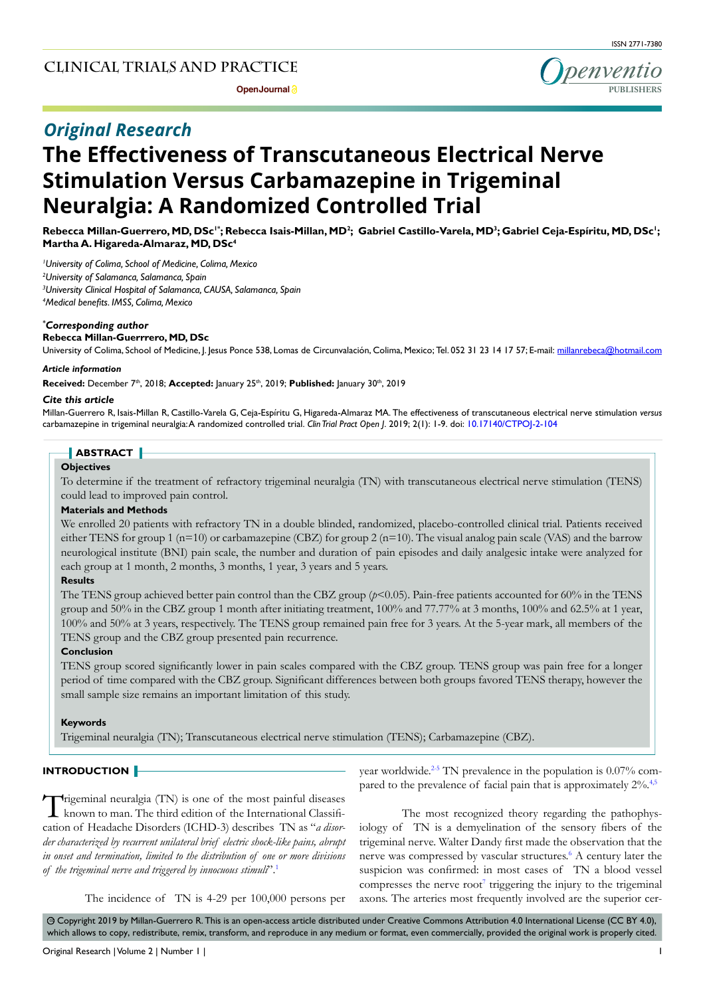# *Original Research*

# **The Effectiveness of Transcutaneous Electrical Nerve Stimulation Versus Carbamazepine in Trigeminal Neuralgia: A Randomized Controlled Trial**

 $R$ ebecca Millan-Guerrero, MD, DSc<sup>1</sup>°; Rebecca Isais-Millan, MD<sup>2</sup>; Gabriel Castillo-Varela, MD<sup>3</sup>; Gabriel Ceja-Espíritu, MD, DSc<sup>1</sup>; **Martha A. Higareda-Almaraz, MD, DSc4**

 *University of Colima, School of Medicine, Colima, Mexico University of Salamanca, Salamanca, Spain University Clinical Hospital of Salamanca, CAUSA, Salamanca, Spain Medical benefits. IMSS, Colima, Mexico*

#### *\* Corresponding author*

#### **Rebecca Millan-Guerrrero, MD, DSc**

University of Colima, School of Medicine, J. Jesus Ponce 538, Lomas de Circunvalación, Colima, Mexico; Tel. 052 31 23 14 17 57; E-mail: millanrebeca@hotmail.com

#### *Article information*

Received: December 7<sup>th</sup>, 2018; Accepted: January 25<sup>th</sup>, 2019; Published: January 30<sup>th</sup>, 2019

#### *Cite this article*

Millan-Guerrero R, Isais-Millan R, Castillo-Varela G, Ceja-Espíritu G, Higareda-Almaraz MA. The effectiveness of transcutaneous electrical nerve stimulation *versus*  carbamazepine in trigeminal neuralgia: A randomized controlled trial. *Clin Trial Pract Open J*. 2019; 2(1): 1-9. doi: [10.17140/CTPOJ-2-104](http://dx.doi.org/10.17140/CTPOJ-2-104)

# **ABSTRACT**

#### **Objectives**

To determine if the treatment of refractory trigeminal neuralgia (TN) with transcutaneous electrical nerve stimulation (TENS) could lead to improved pain control.

# **Materials and Methods**

We enrolled 20 patients with refractory TN in a double blinded, randomized, placebo-controlled clinical trial. Patients received either TENS for group 1 ( $n=10$ ) or carbamazepine (CBZ) for group 2 ( $n=10$ ). The visual analog pain scale (VAS) and the barrow neurological institute (BNI) pain scale, the number and duration of pain episodes and daily analgesic intake were analyzed for each group at 1 month, 2 months, 3 months, 1 year, 3 years and 5 years.

# **Results**

The TENS group achieved better pain control than the CBZ group (*p*<0.05). Pain-free patients accounted for 60% in the TENS group and 50% in the CBZ group 1 month after initiating treatment, 100% and 77.77% at 3 months, 100% and 62.5% at 1 year, 100% and 50% at 3 years, respectively. The TENS group remained pain free for 3 years. At the 5-year mark, all members of the TENS group and the CBZ group presented pain recurrence.

# **Conclusion**

TENS group scored significantly lower in pain scales compared with the CBZ group. TENS group was pain free for a longer period of time compared with the CBZ group. Significant differences between both groups favored TENS therapy, however the small sample size remains an important limitation of this study.

#### **Keywords**

Trigeminal neuralgia (TN); Transcutaneous electrical nerve stimulation (TENS); Carbamazepine (CBZ).

# **INTRODUCTION**

Trigeminal neuralgia (TN) is one of the most painful diseases **L** known to man. The third edition of the International Classification of Headache Disorders (ICHD-3) describes TN as "*a disorder characterized by recurrent unilateral brief electric shock-like pains, abrupt in onset and termination, limited to the distribution of one or more divisions of the trigeminal nerve and triggered by innocuous stimuli*".[1](#page-6-0)

year worldwide.<sup>2-5</sup> TN prevalence in the population is 0.07% compared to the prevalence of facial pain that is approximately  $2\%$ .<sup>[4,5](#page-6-2)</sup>

The most recognized theory regarding the pathophysiology of TN is a demyelination of the sensory fibers of the trigeminal nerve. Walter Dandy first made the observation that the nerve was compressed by vascular structures.<sup>6</sup> A century later the suspicion was confirmed: in most cases of TN a blood vessel compresses the nerve  $root<sup>7</sup>$  $root<sup>7</sup>$  $root<sup>7</sup>$  triggering the injury to the trigeminal axons. The arteries most frequently involved are the superior cer-

The incidence of TN is 4-29 per 100,000 persons per

 $\circledcirc$  Copyright 2019 by Millan-Guerrero R. This is an open-access article distributed under Creative Commons Attribution 4.0 International License (CC BY 4.0), which allows to copy, redistribute, remix, transform, and reproduce in any medium or format, even commercially, provided the original work is properly cited.

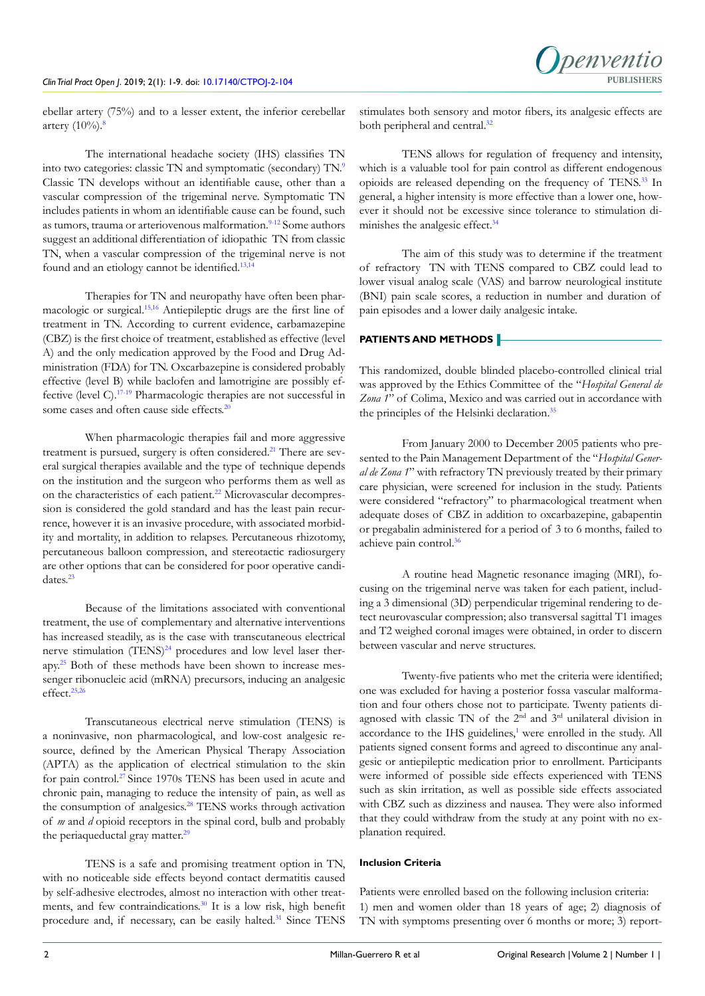ebellar artery (75%) and to a lesser extent, the inferior cerebellar artery  $(10\%)$ .<sup>[8](#page-6-5)</sup>

The international headache society (IHS) classifies TN into two categories: classic TN and symptomatic (secondary) TN.[9](#page-6-6) Classic TN develops without an identifiable cause, other than a vascular compression of the trigeminal nerve. Symptomatic TN includes patients in whom an identifiable cause can be found, such as tumors, trauma or arteriovenous malformation.<sup>9-12</sup> Some authors suggest an additional differentiation of idiopathic TN from classic TN, when a vascular compression of the trigeminal nerve is not found and an etiology cannot be identified.[13,14](#page-6-7)

Therapies for TN and neuropathy have often been pharmacologic or surgical.[15,16](#page-6-8) Antiepileptic drugs are the first line of treatment in TN. According to current evidence, carbamazepine (CBZ) is the first choice of treatment, established as effective (level A) and the only medication approved by the Food and Drug Administration (FDA) for TN. Oxcarbazepine is considered probably effective (level B) while baclofen and lamotrigine are possibly effective (level C).[17-19](#page-6-9) Pharmacologic therapies are not successful in some cases and often cause side effects.<sup>20</sup>

When pharmacologic therapies fail and more aggressive treatment is pursued, surgery is often considered.<sup>[21](#page-7-1)</sup> There are several surgical therapies available and the type of technique depends on the institution and the surgeon who performs them as well as on the characteristics of each patient.<sup>22</sup> Microvascular decompression is considered the gold standard and has the least pain recurrence, however it is an invasive procedure, with associated morbidity and mortality, in addition to relapses. Percutaneous rhizotomy, percutaneous balloon compression, and stereotactic radiosurgery are other options that can be considered for poor operative candidates.[23](#page-7-3)

Because of the limitations associated with conventional treatment, the use of complementary and alternative interventions has increased steadily, as is the case with transcutaneous electrical nerve stimulation (TENS)<sup>24</sup> procedures and low level laser therapy.[25](#page-7-5) Both of these methods have been shown to increase messenger ribonucleic acid (mRNA) precursors, inducing an analgesic effect.<sup>25,26</sup>

Transcutaneous electrical nerve stimulation (TENS) is a noninvasive, non pharmacological, and low-cost analgesic resource, defined by the American Physical Therapy Association (APTA) as the application of electrical stimulation to the skin for pain control.[27 S](#page-7-6)ince 1970s TENS has been used in acute and chronic pain, managing to reduce the intensity of pain, as well as the consumption of analgesics.<sup>[28](#page-7-7)</sup> TENS works through activation of *m* and *d* opioid receptors in the spinal cord, bulb and probably the periaqueductal gray matter.<sup>[29](#page-7-8)</sup>

TENS is a safe and promising treatment option in TN, with no noticeable side effects beyond contact dermatitis caused by self-adhesive electrodes, almost no interaction with other treatments, and few contraindications.<sup>30</sup> It is a low risk, high benefit procedure and, if necessary, can be easily halted.<sup>[31](#page-7-10)</sup> Since TENS

stimulates both sensory and motor fibers, its analgesic effects are both peripheral and central.<sup>[32](#page-7-11)</sup>

TENS allows for regulation of frequency and intensity, which is a valuable tool for pain control as different endogenous opioids are released depending on the frequency of TENS.[33](#page-7-12) In general, a higher intensity is more effective than a lower one, however it should not be excessive since tolerance to stimulation di-minishes the analgesic effect.<sup>[34](#page-7-13)</sup>

The aim of this study was to determine if the treatment of refractory TN with TENS compared to CBZ could lead to lower visual analog scale (VAS) and barrow neurological institute (BNI) pain scale scores, a reduction in number and duration of pain episodes and a lower daily analgesic intake.

# **PATIENTS AND METHODS**

This randomized, double blinded placebo-controlled clinical trial was approved by the Ethics Committee of the "*Hospital General de Zona 1*" of Colima, Mexico and was carried out in accordance with the principles of the Helsinki declaration.<sup>35</sup>

From January 2000 to December 2005 patients who presented to the Pain Management Department of the "*Hospital General de Zona 1*" with refractory TN previously treated by their primary care physician, were screened for inclusion in the study. Patients were considered "refractory" to pharmacological treatment when adequate doses of CBZ in addition to oxcarbazepine, gabapentin or pregabalin administered for a period of 3 to 6 months, failed to achieve pain control.<sup>[36](#page-7-15)</sup>

A routine head Magnetic resonance imaging (MRI), focusing on the trigeminal nerve was taken for each patient, including a 3 dimensional (3D) perpendicular trigeminal rendering to detect neurovascular compression; also transversal sagittal T1 images and T2 weighed coronal images were obtained, in order to discern between vascular and nerve structures.

Twenty-five patients who met the criteria were identified; one was excluded for having a posterior fossa vascular malformation and four others chose not to participate. Twenty patients diagnosed with classic TN of the  $2<sup>nd</sup>$  and  $3<sup>rd</sup>$  unilateral division in accordance to the IHS guidelines,<sup>[1](#page-6-0)</sup> were enrolled in the study. All patients signed consent forms and agreed to discontinue any analgesic or antiepileptic medication prior to enrollment. Participants were informed of possible side effects experienced with TENS such as skin irritation, as well as possible side effects associated with CBZ such as dizziness and nausea. They were also informed that they could withdraw from the study at any point with no explanation required.

#### **Inclusion Criteria**

Patients were enrolled based on the following inclusion criteria: 1) men and women older than 18 years of age; 2) diagnosis of TN with symptoms presenting over 6 months or more; 3) report-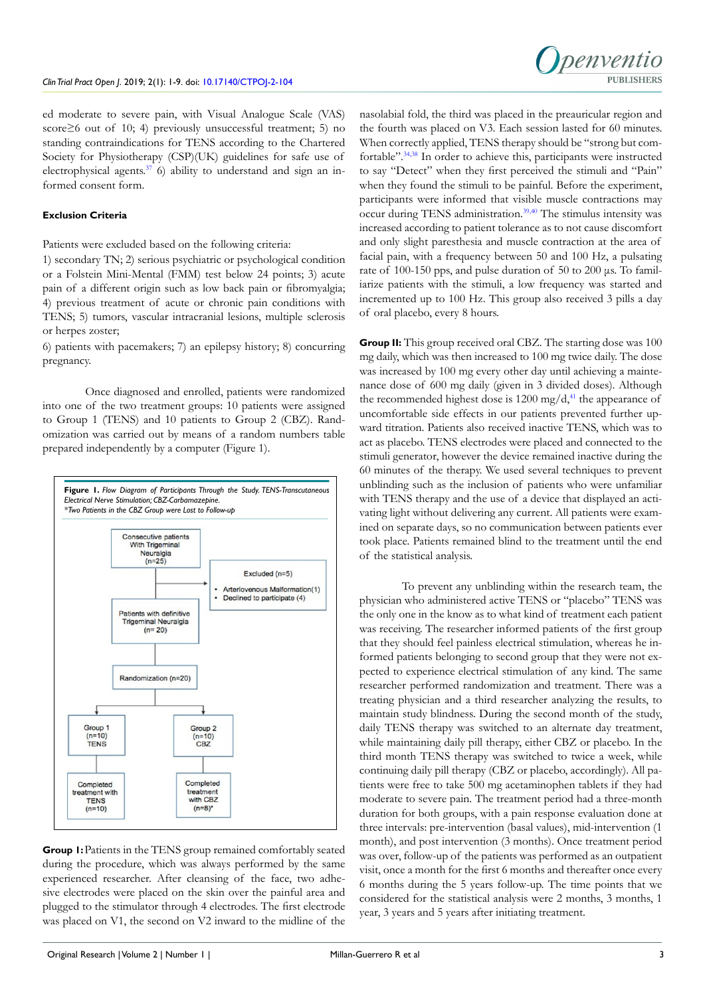

ed moderate to severe pain, with Visual Analogue Scale (VAS) score≥6 out of 10; 4) previously unsuccessful treatment; 5) no standing contraindications for TENS according to the Chartered Society for Physiotherapy (CSP)(UK) guidelines for safe use of electrophysical agents. $37/6$ ) ability to understand and sign an informed consent form.

# **Exclusion Criteria**

Patients were excluded based on the following criteria:

1) secondary TN; 2) serious psychiatric or psychological condition or a Folstein Mini-Mental (FMM) test below 24 points; 3) acute pain of a different origin such as low back pain or fibromyalgia; 4) previous treatment of acute or chronic pain conditions with TENS; 5) tumors, vascular intracranial lesions, multiple sclerosis or herpes zoster;

6) patients with pacemakers; 7) an epilepsy history; 8) concurring pregnancy.

Once diagnosed and enrolled, patients were randomized into one of the two treatment groups: 10 patients were assigned to Group 1 (TENS) and 10 patients to Group 2 (CBZ). Randomization was carried out by means of a random numbers table prepared independently by a computer (Figure 1).



**Group 1:** Patients in the TENS group remained comfortably seated during the procedure, which was always performed by the same experienced researcher. After cleansing of the face, two adhesive electrodes were placed on the skin over the painful area and plugged to the stimulator through 4 electrodes. The first electrode was placed on V1, the second on V2 inward to the midline of the

nasolabial fold, the third was placed in the preauricular region and the fourth was placed on V3. Each session lasted for 60 minutes. When correctly applied, TENS therapy should be "strong but comfortable".[34,](#page-7-13)[38](#page-7-17) In order to achieve this, participants were instructed to say "Detect" when they first perceived the stimuli and "Pain" when they found the stimuli to be painful. Before the experiment, participants were informed that visible muscle contractions may occur during TENS administration.[39,40](#page-7-18) The stimulus intensity was increased according to patient tolerance as to not cause discomfort and only slight paresthesia and muscle contraction at the area of facial pain, with a frequency between 50 and 100 Hz, a pulsating rate of 100-150 pps, and pulse duration of 50 to 200 μs. To familiarize patients with the stimuli, a low frequency was started and incremented up to 100 Hz. This group also received 3 pills a day of oral placebo, every 8 hours.

**Group II:** This group received oral CBZ. The starting dose was 100 mg daily, which was then increased to 100 mg twice daily. The dose was increased by 100 mg every other day until achieving a maintenance dose of 600 mg daily (given in 3 divided doses). Although the recommended highest dose is  $1200 \text{ mg/d}$ ,<sup>41</sup> the appearance of uncomfortable side effects in our patients prevented further upward titration. Patients also received inactive TENS, which was to act as placebo. TENS electrodes were placed and connected to the stimuli generator, however the device remained inactive during the 60 minutes of the therapy. We used several techniques to prevent unblinding such as the inclusion of patients who were unfamiliar with TENS therapy and the use of a device that displayed an activating light without delivering any current. All patients were examined on separate days, so no communication between patients ever took place. Patients remained blind to the treatment until the end of the statistical analysis.

To prevent any unblinding within the research team, the physician who administered active TENS or "placebo" TENS was the only one in the know as to what kind of treatment each patient was receiving. The researcher informed patients of the first group that they should feel painless electrical stimulation, whereas he informed patients belonging to second group that they were not expected to experience electrical stimulation of any kind. The same researcher performed randomization and treatment. There was a treating physician and a third researcher analyzing the results, to maintain study blindness. During the second month of the study, daily TENS therapy was switched to an alternate day treatment, while maintaining daily pill therapy, either CBZ or placebo. In the third month TENS therapy was switched to twice a week, while continuing daily pill therapy (CBZ or placebo, accordingly). All patients were free to take 500 mg acetaminophen tablets if they had moderate to severe pain. The treatment period had a three-month duration for both groups, with a pain response evaluation done at three intervals: pre-intervention (basal values), mid-intervention (1 month), and post intervention (3 months). Once treatment period was over, follow-up of the patients was performed as an outpatient visit, once a month for the first 6 months and thereafter once every 6 months during the 5 years follow-up. The time points that we considered for the statistical analysis were 2 months, 3 months, 1 year, 3 years and 5 years after initiating treatment.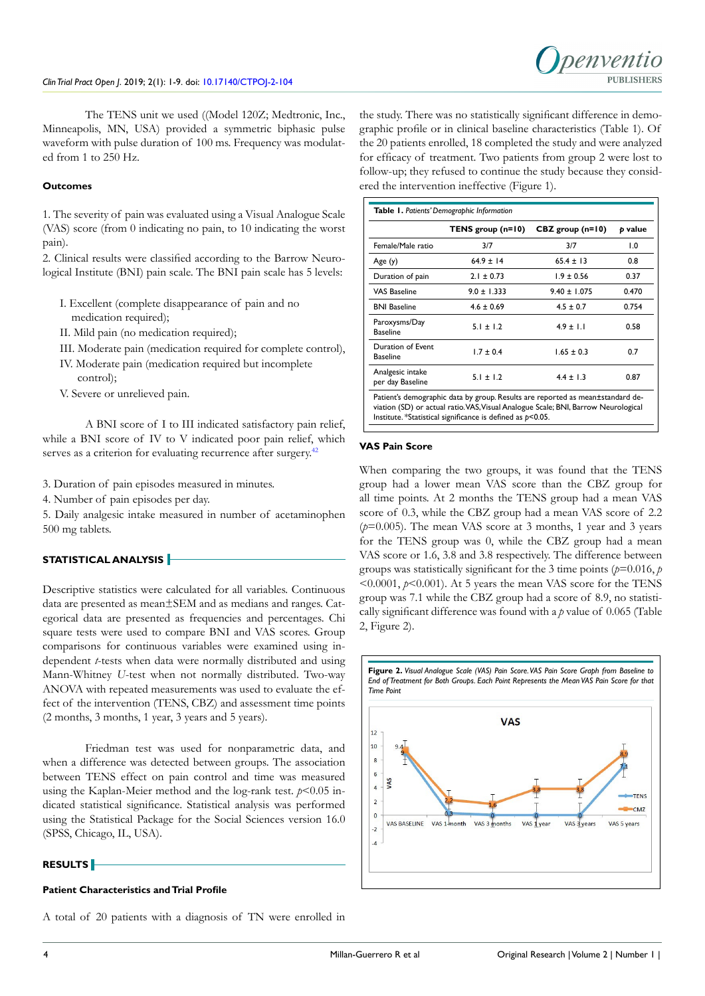

The TENS unit we used ((Model 120Z; Medtronic, Inc., Minneapolis, MN, USA) provided a symmetric biphasic pulse waveform with pulse duration of 100 ms. Frequency was modulated from 1 to 250 Hz.

#### **Outcomes**

1. The severity of pain was evaluated using a Visual Analogue Scale (VAS) score (from 0 indicating no pain, to 10 indicating the worst pain).

2. Clinical results were classified according to the Barrow Neurological Institute (BNI) pain scale. The BNI pain scale has 5 levels:

- I. Excellent (complete disappearance of pain and no medication required);
- II. Mild pain (no medication required);
- III. Moderate pain (medication required for complete control),
- IV. Moderate pain (medication required but incomplete
- control);
- V. Severe or unrelieved pain.

A BNI score of I to III indicated satisfactory pain relief, while a BNI score of IV to V indicated poor pain relief, which serves as a criterion for evaluating recurrence after surgery.<sup>42</sup>

3. Duration of pain episodes measured in minutes.

4. Number of pain episodes per day.

5. Daily analgesic intake measured in number of acetaminophen 500 mg tablets.

# **STATISTICAL ANALYSIS**

Descriptive statistics were calculated for all variables. Continuous data are presented as mean±SEM and as medians and ranges. Categorical data are presented as frequencies and percentages. Chi square tests were used to compare BNI and VAS scores. Group comparisons for continuous variables were examined using independent *t*-tests when data were normally distributed and using Mann-Whitney *U*-test when not normally distributed. Two-way ANOVA with repeated measurements was used to evaluate the effect of the intervention (TENS, CBZ) and assessment time points (2 months, 3 months, 1 year, 3 years and 5 years).

Friedman test was used for nonparametric data, and when a difference was detected between groups. The association between TENS effect on pain control and time was measured using the Kaplan-Meier method and the log-rank test.  $p < 0.05$  indicated statistical significance. Statistical analysis was performed using the Statistical Package for the Social Sciences version 16.0 (SPSS, Chicago, IL, USA).

# **RESULTS**

#### **Patient Characteristics and Trial Profile**

A total of 20 patients with a diagnosis of TN were enrolled in

the study. There was no statistically significant difference in demographic profile or in clinical baseline characteristics (Table 1). Of the 20 patients enrolled, 18 completed the study and were analyzed for efficacy of treatment. Two patients from group 2 were lost to follow-up; they refused to continue the study because they considered the intervention ineffective (Figure 1).

|                                      | TENS group (n=10) | $CBZ$ group (n=10) | p value |
|--------------------------------------|-------------------|--------------------|---------|
| Female/Male ratio                    | 3/7               | 3/7                | 1.0     |
| Age (y)                              | $64.9 \pm 14$     | $65.4 \pm 13$      | 0.8     |
| Duration of pain                     | $2.1 \pm 0.73$    | $1.9 \pm 0.56$     | 0.37    |
| <b>VAS Baseline</b>                  | $9.0 \pm 1.333$   | $9.40 \pm 1.075$   | 0.470   |
| <b>BNI Baseline</b>                  | $4.6 \pm 0.69$    | $4.5 \pm 0.7$      | 0.754   |
| Paroxysms/Day<br><b>Baseline</b>     | $5.1 \pm 1.2$     | $4.9 \pm 1.1$      | 0.58    |
| Duration of Event<br><b>Baseline</b> | $1.7 \pm 0.4$     | $1.65 \pm 0.3$     | 0.7     |
| Analgesic intake<br>per day Baseline | $5.1 \pm 1.2$     | $4.4 \pm 1.3$      | 0.87    |

# **VAS Pain Score**

When comparing the two groups, it was found that the TENS group had a lower mean VAS score than the CBZ group for all time points. At 2 months the TENS group had a mean VAS score of 0.3, while the CBZ group had a mean VAS score of 2.2 (*p*=0.005). The mean VAS score at 3 months, 1 year and 3 years for the TENS group was 0, while the CBZ group had a mean VAS score or 1.6, 3.8 and 3.8 respectively. The difference between groups was statistically significant for the 3 time points ( $p=0.016$ ,  $p$ )  $\leq 0.0001$ ,  $p \leq 0.001$ ). At 5 years the mean VAS score for the TENS group was 7.1 while the CBZ group had a score of 8.9, no statistically significant difference was found with a *p* value of 0.065 (Table 2, Figure 2).

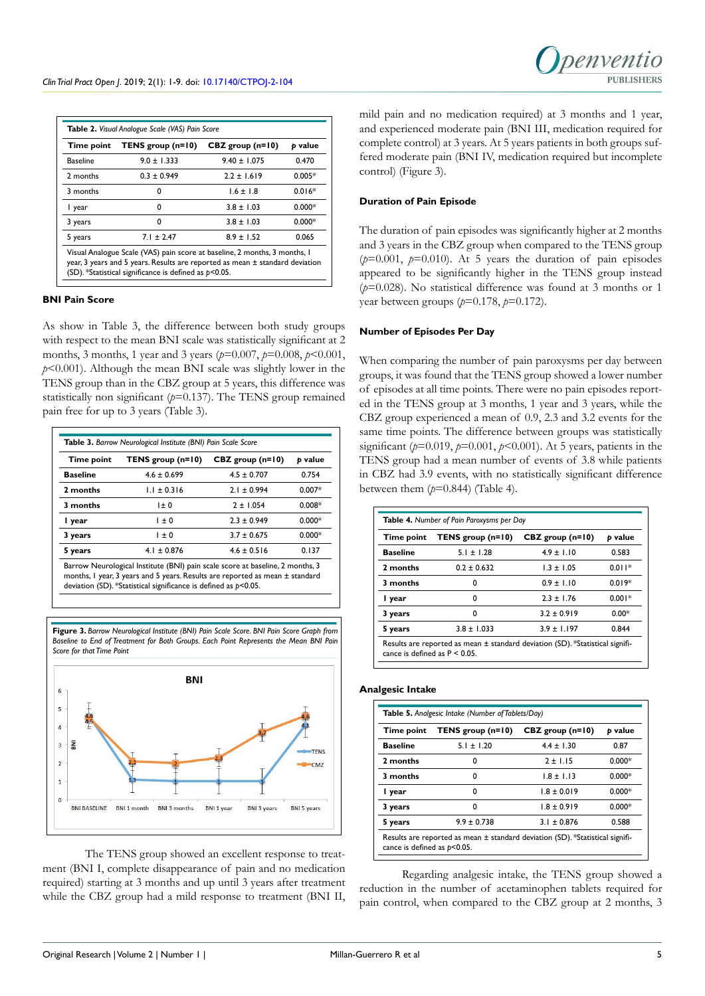| Time point                                                                                                                                                                                                                | Table 2. Visual Analogue Scale (VAS) Pain Score<br>TENS group (n=10) | $CBZ$ group (n=10) | p value  |
|---------------------------------------------------------------------------------------------------------------------------------------------------------------------------------------------------------------------------|----------------------------------------------------------------------|--------------------|----------|
| <b>Baseline</b>                                                                                                                                                                                                           | $9.0 \pm 1.333$                                                      | $9.40 \pm 1.075$   | 0.470    |
| 2 months                                                                                                                                                                                                                  | $0.3 \pm 0.949$                                                      | $2.2 \pm 1.619$    | $0.005*$ |
| 3 months                                                                                                                                                                                                                  | 0                                                                    | $1.6 \pm 1.8$      | $0.016*$ |
| I year                                                                                                                                                                                                                    | 0                                                                    | $3.8 \pm 1.03$     | $0.000*$ |
| 3 years                                                                                                                                                                                                                   | n                                                                    | $3.8 \pm 1.03$     | $0.000*$ |
| 5 years                                                                                                                                                                                                                   | $7.1 \pm 2.47$                                                       | $8.9 \pm 1.52$     | 0.065    |
| Visual Analogue Scale (VAS) pain score at baseline, 2 months, 3 months, 1<br>year, 3 years and 5 years. Results are reported as mean $\pm$ standard deviation<br>(SD). *Statistical significance is defined as $p<0.05$ . |                                                                      |                    |          |

#### **BNI Pain Score**

As show in Table 3, the difference between both study groups with respect to the mean BNI scale was statistically significant at 2 months, 3 months, 1 year and 3 years (*p*=0.007, *p*=0.008, *p*<0.001, *p*<0.001). Although the mean BNI scale was slightly lower in the TENS group than in the CBZ group at 5 years, this difference was statistically non significant (*p*=0.137). The TENS group remained pain free for up to 3 years (Table 3).

| Time point      | TENS group (n=10) | $CBZ$ group (n=10) | p value  |
|-----------------|-------------------|--------------------|----------|
| <b>Baseline</b> | $4.6 \pm 0.699$   | $4.5 \pm 0.707$    | 0.754    |
| 2 months        | $1.1 \pm 0.316$   | $2.1 \pm 0.994$    | $0.007*$ |
| 3 months        | $1 \pm 0$         | $2 \pm 1.054$      | $0.008*$ |
| I year          | $1 \pm 0$         | $2.3 \pm 0.949$    | $0.000*$ |
| 3 years         | $1 \pm 0$         | $3.7 \pm 0.675$    | $0.000*$ |
| 5 years         | $4.1 \pm 0.876$   | $4.6 \pm 0.516$    | 0.137    |

Barrow Neurological Institute (BNI) pain scale score at baseline, 2 months, 3 months, 1 year, 3 years and 5 years. Results are reported as mean ± standard deviation (SD). \*Statistical significance is defined as *p*<0.05.



**Figure 3.** *Barrow Neurological Institute (BNI) Pain Scale Score. BNI Pain Score Graph from* 

The TENS group showed an excellent response to treatment (BNI I, complete disappearance of pain and no medication required) starting at 3 months and up until 3 years after treatment while the CBZ group had a mild response to treatment (BNI II, mild pain and no medication required) at 3 months and 1 year, and experienced moderate pain (BNI III, medication required for complete control) at 3 years. At 5 years patients in both groups suffered moderate pain (BNI IV, medication required but incomplete control) (Figure 3).

#### **Duration of Pain Episode**

The duration of pain episodes was significantly higher at 2 months and 3 years in the CBZ group when compared to the TENS group  $(p=0.001, p=0.010)$ . At 5 years the duration of pain episodes appeared to be significantly higher in the TENS group instead (*p*=0.028). No statistical difference was found at 3 months or 1 year between groups (*p*=0.178, *p*=0.172).

### **Number of Episodes Per Day**

When comparing the number of pain paroxysms per day between groups, it was found that the TENS group showed a lower number of episodes at all time points. There were no pain episodes reported in the TENS group at 3 months, 1 year and 3 years, while the CBZ group experienced a mean of 0.9, 2.3 and 3.2 events for the same time points. The difference between groups was statistically significant (*p*=0.019, *p*=0.001, *p*<0.001). At 5 years, patients in the TENS group had a mean number of events of 3.8 while patients in CBZ had 3.9 events, with no statistically significant difference between them  $(p=0.844)$  (Table 4).

| Time point      | TENS group (n=10) | CBZ group (n=10) | p value  |
|-----------------|-------------------|------------------|----------|
| <b>Baseline</b> | $5.1 \pm 1.28$    | $4.9 \pm 1.10$   | 0.583    |
| 2 months        | $0.2 \pm 0.632$   | $1.3 \pm 1.05$   | $0.011*$ |
| 3 months        | 0                 | $0.9 \pm 1.10$   | 0019*    |
| I year          | 0                 | $2.3 \pm 1.76$   | $0.001*$ |
| 3 years         | 0                 | $3.2 \pm 0.919$  | $0.00*$  |
| 5 years         | $3.8 \pm 1.033$   | $3.9 \pm 1.197$  | 0.844    |

#### **Analgesic Intake**

| Time point      | TENS group $(n=10)$ | $CBZ$ group (n=10) | p value  |
|-----------------|---------------------|--------------------|----------|
| <b>Baseline</b> | $5.1 \pm 1.20$      | $4.4 \pm 1.30$     | 0.87     |
| 2 months        | o                   | $2 + 115$          | $0.000*$ |
| 3 months        | 0                   | $1.8 \pm 1.13$     | $0.000*$ |
| l year          | n                   | $1.8 \pm 0.019$    | $0.000*$ |
| 3 years         | 0                   | $1.8 \pm 0.919$    | $0.000*$ |
| 5 years         | $9.9 \pm 0.738$     | $3.1 \pm 0.876$    | 0.588    |

Regarding analgesic intake, the TENS group showed a reduction in the number of acetaminophen tablets required for pain control, when compared to the CBZ group at 2 months, 3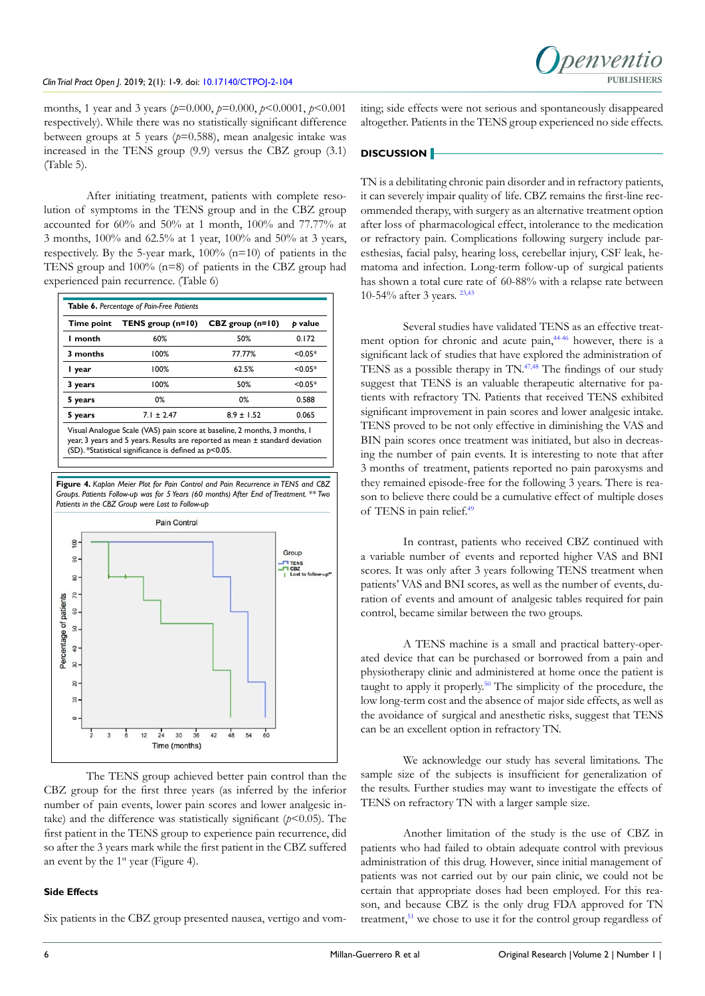months, 1 year and 3 years (*p*=0.000, *p*=0.000, *p*<0.0001, *p*<0.001 respectively). While there was no statistically significant difference between groups at 5 years (*p*=0.588), mean analgesic intake was increased in the TENS group (9.9) versus the CBZ group (3.1) (Table 5).

After initiating treatment, patients with complete resolution of symptoms in the TENS group and in the CBZ group accounted for 60% and 50% at 1 month, 100% and 77.77% at 3 months, 100% and 62.5% at 1 year, 100% and 50% at 3 years, respectively. By the 5-year mark,  $100\%$  (n=10) of patients in the TENS group and 100% (n=8) of patients in the CBZ group had experienced pain recurrence. (Table 6)

| Table 6. Percentage of Pain-Free Patients |                   |                    |           |  |
|-------------------------------------------|-------------------|--------------------|-----------|--|
| Time point                                | TENS group (n=10) | $CBZ$ group (n=10) | p value   |  |
| I month                                   | 60%               | 50%                | 0.172     |  |
| 3 months                                  | 100%              | 77.77%             | $< 0.05*$ |  |
| I year                                    | 100%              | 62.5%              | $< 0.05*$ |  |
| 3 years                                   | 100%              | 50%                | $< 0.05*$ |  |
| 5 years                                   | 0%                | 0%                 | 0.588     |  |
| 5 years                                   | $7.1 \pm 2.47$    | $8.9 \pm 1.52$     | 0.065     |  |

Visual Analogue Scale (VAS) pain score at baseline, 2 months, 3 months, 1 year, 3 years and 5 years. Results are reported as mean ± standard deviation (SD). \*Statistical significance is defined as *p*<0.05.



The TENS group achieved better pain control than the CBZ group for the first three years (as inferred by the inferior number of pain events, lower pain scores and lower analgesic intake) and the difference was statistically significant  $(p<0.05)$ . The first patient in the TENS group to experience pain recurrence, did so after the 3 years mark while the first patient in the CBZ suffered an event by the  $1<sup>st</sup>$  year (Figure 4).

## **Side Effects**

Six patients in the CBZ group presented nausea, vertigo and vom-

iting; side effects were not serious and spontaneously disappeared altogether. Patients in the TENS group experienced no side effects.

# **DISCUSSION**

TN is a debilitating chronic pain disorder and in refractory patients, it can severely impair quality of life. CBZ remains the first-line recommended therapy, with surgery as an alternative treatment option after loss of pharmacological effect, intolerance to the medication or refractory pain. Complications following surgery include paresthesias, facial palsy, hearing loss, cerebellar injury, CSF leak, hematoma and infection. Long-term follow-up of surgical patients has shown a total cure rate of 60-88% with a relapse rate between 10-54% after 3 years. [23,](#page-7-3)[43](#page-7-21)

Several studies have validated TENS as an effective treat-ment option for chronic and acute pain,<sup>[44-46](#page-7-22)</sup> however, there is a significant lack of studies that have explored the administration of TENS as a possible therapy in TN.[47,48](#page-8-0) The findings of our study suggest that TENS is an valuable therapeutic alternative for patients with refractory TN. Patients that received TENS exhibited significant improvement in pain scores and lower analgesic intake. TENS proved to be not only effective in diminishing the VAS and BIN pain scores once treatment was initiated, but also in decreasing the number of pain events. It is interesting to note that after 3 months of treatment, patients reported no pain paroxysms and they remained episode-free for the following 3 years. There is reason to believe there could be a cumulative effect of multiple doses of TENS in pain relief.[49](#page-8-1)

In contrast, patients who received CBZ continued with a variable number of events and reported higher VAS and BNI scores. It was only after 3 years following TENS treatment when patients' VAS and BNI scores, as well as the number of events, duration of events and amount of analgesic tables required for pain control, became similar between the two groups.

A TENS machine is a small and practical battery-operated device that can be purchased or borrowed from a pain and physiotherapy clinic and administered at home once the patient is taught to apply it properly.[50](#page-8-2) The simplicity of the procedure, the low long-term cost and the absence of major side effects, as well as the avoidance of surgical and anesthetic risks, suggest that TENS can be an excellent option in refractory TN.

We acknowledge our study has several limitations. The sample size of the subjects is insufficient for generalization of the results. Further studies may want to investigate the effects of TENS on refractory TN with a larger sample size.

Another limitation of the study is the use of CBZ in patients who had failed to obtain adequate control with previous administration of this drug. However, since initial management of patients was not carried out by our pain clinic, we could not be certain that appropriate doses had been employed. For this reason, and because CBZ is the only drug FDA approved for TN treatment, $51$  we chose to use it for the control group regardless of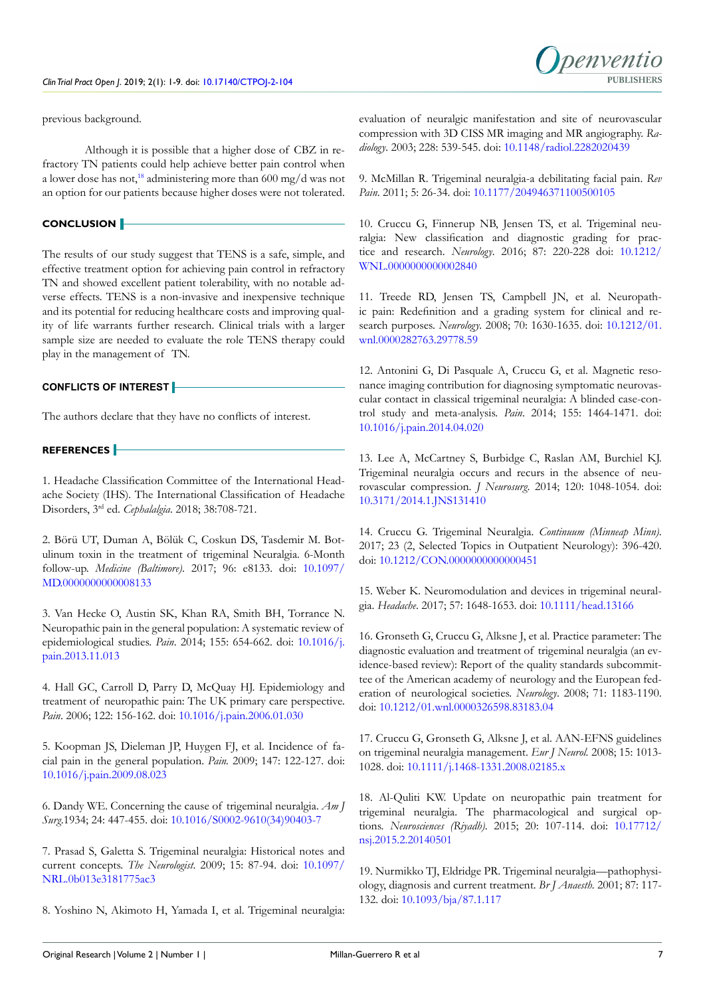penyentic

previous background.

Although it is possible that a higher dose of CBZ in refractory TN patients could help achieve better pain control when a lower dose has not[,18](#page-6-10) administering more than 600 mg/d was not an option for our patients because higher doses were not tolerated.

### **CONCLUSION**

The results of our study suggest that TENS is a safe, simple, and effective treatment option for achieving pain control in refractory TN and showed excellent patient tolerability, with no notable adverse effects. TENS is a non-invasive and inexpensive technique and its potential for reducing healthcare costs and improving quality of life warrants further research. Clinical trials with a larger sample size are needed to evaluate the role TENS therapy could play in the management of TN.

# **CONFLICTS OF INTEREST**

The authors declare that they have no conflicts of interest.

# **REFERENCES**

<span id="page-6-0"></span>1. Headache Classification Committee of the International Headache Society (IHS). The International Classification of Headache Disorders, 3rd ed. *Cephalalgia*. 2018; 38:708-721.

<span id="page-6-1"></span>2. Börü UT, Duman A, Bölük C, Coskun DS, Tasdemir M. Botulinum toxin in the treatment of trigeminal Neuralgia. 6-Month follow-up. *Medicine (Baltimore)*. 2017; 96: e8133. doi: [10.1097/](https://doi.org/10.1097/MD.0000000000008133) [MD.0000000000008133](https://doi.org/10.1097/MD.0000000000008133)

3. Van Hecke O, Austin SK, Khan RA, Smith BH, Torrance N. Neuropathic pain in the general population: A systematic review of epidemiological studies. *Pain*. 2014; 155: 654-662. doi: [10.1016/j.](https://doi.org/10.1016/j.pain.2013.11.013) [pain.2013.11.013](https://doi.org/10.1016/j.pain.2013.11.013)

<span id="page-6-2"></span>4. Hall GC, Carroll D, Parry D, McQuay HJ. Epidemiology and treatment of neuropathic pain: The UK primary care perspective. *Pain*. 2006; 122: 156-162. doi: [10.1016/j.pain.2006.01.030](https://doi.org/10.1016/j.pain.2006.01.030)

5. Koopman JS, Dieleman JP, Huygen FJ, et al. Incidence of facial pain in the general population. *Pain.* 2009; 147: 122-127. doi: [10.1016/j.pain.2009.08.023](https://doi.org/10.1016/j.pain.2009.08.023)

<span id="page-6-3"></span>6. Dandy WE. Concerning the cause of trigeminal neuralgia. *Am J Surg*.1934; 24: 447-455. doi: [10.1016/S0002-9610\(34\)90403-7](https://doi.org/10.1016/S0002-9610%2834%2990403-7)

<span id="page-6-4"></span>7. Prasad S, Galetta S. Trigeminal neuralgia: Historical notes and current concepts. *The Neurologist*. 2009; 15: 87-94. doi: [10.1097/](https://doi.org/10.1097/NRL.0b013e3181775ac3) [NRL.0b013e3181775ac3](https://doi.org/10.1097/NRL.0b013e3181775ac3)

<span id="page-6-5"></span>8. Yoshino N, Akimoto H, Yamada I, et al. Trigeminal neuralgia:

evaluation of neuralgic manifestation and site of neurovascular compression with 3D CISS MR imaging and MR angiography. *Radiology*. 2003; 228: 539-545. doi: [10.1148/radiol.2282020439](https://doi.org/10.1148/radiol.2282020439)

<span id="page-6-6"></span>9. McMillan R. Trigeminal neuralgia-a debilitating facial pain. *Rev Pain*. 2011; 5: 26-34. doi: [10.1177/204946371100500105](https://doi.org/10.1177/204946371100500105)

10. Cruccu G, Finnerup NB, Jensen TS, et al. Trigeminal neuralgia: New classification and diagnostic grading for practice and research. *Neurology*. 2016; 87: 220-228 doi: [10.1212/](https://doi.org/10.1212/WNL.0000000000002840) [WNL.0000000000002840](https://doi.org/10.1212/WNL.0000000000002840)

11. Treede RD, Jensen TS, Campbell JN, et al. Neuropathic pain: Redefinition and a grading system for clinical and research purposes. *Neurology*. 2008; 70: 1630-1635. doi: [10.1212/01.](https://doi.org/10.1212/01.wnl.0000282763.29778.59) [wnl.0000282763.29778.59](https://doi.org/10.1212/01.wnl.0000282763.29778.59)

12. Antonini G, Di Pasquale A, Cruccu G, et al. Magnetic resonance imaging contribution for diagnosing symptomatic neurovascular contact in classical trigeminal neuralgia: A blinded case-control study and meta-analysis. *Pain*. 2014; 155: 1464-1471. doi: [10.1016/j.pain.2014.04.020](https://doi.org/10.1016/j.pain.2014.04.020)

<span id="page-6-7"></span>13. Lee A, McCartney S, Burbidge C, Raslan AM, Burchiel KJ. Trigeminal neuralgia occurs and recurs in the absence of neurovascular compression. *J Neurosurg*. 2014; 120: 1048-1054. doi: [10.3171/2014.1.JNS131410](https://doi.org/10.3171/2014.1.JNS131410)

14. Cruccu G. Trigeminal Neuralgia. *Continuum (Minneap Minn)*. 2017; 23 (2, Selected Topics in Outpatient Neurology): 396-420. doi: [10.1212/CON.0000000000000451](https://doi.org/10.1212/CON.0000000000000451)

<span id="page-6-8"></span>15. Weber K. Neuromodulation and devices in trigeminal neuralgia. *Headache*. 2017; 57: 1648-1653. doi: [10.1111/head.13166](https://doi.org/10.1111/head.13166)

16. Gronseth G, Cruccu G, Alksne J, et al. Practice parameter: The diagnostic evaluation and treatment of trigeminal neuralgia (an evidence-based review): Report of the quality standards subcommittee of the American academy of neurology and the European federation of neurological societies. *Neurology*. 2008; 71: 1183-1190. doi: [10.1212/01.wnl.0000326598.83183.04](https://doi.org/10.1212/01.wnl.0000326598.83183.04)

<span id="page-6-9"></span>17. Cruccu G, Gronseth G, Alksne J, et al. AAN-EFNS guidelines on trigeminal neuralgia management. *Eur J Neurol.* 2008; 15: 1013- 1028. doi: [10.1111/j.1468-1331.2008.02185.x](https://doi.org/10.1111/j.1468-1331.2008.02185.x)

<span id="page-6-10"></span>18. Al-Quliti KW. Update on neuropathic pain treatment for trigeminal neuralgia. The pharmacological and surgical options. *Neurosciences (Riyadh)*. 2015; 20: 107-114. doi: [10.17712/](https://doi.org/10.17712/nsj.2015.2.20140501) [nsj.2015.2.20140501](https://doi.org/10.17712/nsj.2015.2.20140501)

19. Nurmikko TJ, Eldridge PR. Trigeminal neuralgia—pathophysiology, diagnosis and current treatment. *Br J Anaesth.* 2001; 87: 117- 132. doi: [10.1093/bja/87.1.117](https://doi.org/10.1093/bja/87.1.117)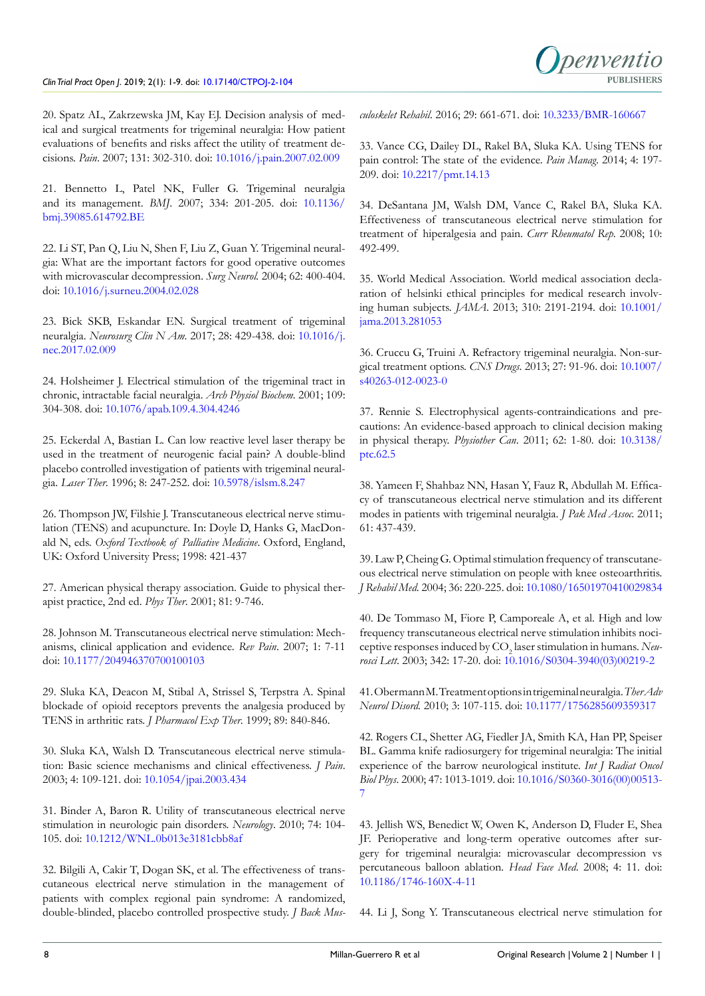<span id="page-7-0"></span>20. Spatz AL, Zakrzewska JM, Kay EJ. Decision analysis of medical and surgical treatments for trigeminal neuralgia: How patient evaluations of benefits and risks affect the utility of treatment decisions. *Pain*. 2007; 131: 302-310. doi: [10.1016/j.pain.2007.02.009](https://doi.org/10.1016/j.pain.2007.02.009)

<span id="page-7-1"></span>21. Bennetto L, Patel NK, Fuller G. Trigeminal neuralgia and its management. *BMJ*. 2007; 334: 201-205. doi: [10.1136/](https://doi.org/10.1136/bmj.39085.614792.BE) [bmj.39085.614792.BE](https://doi.org/10.1136/bmj.39085.614792.BE)

<span id="page-7-2"></span>22. Li ST, Pan Q, Liu N, Shen F, Liu Z, Guan Y. Trigeminal neuralgia: What are the important factors for good operative outcomes with microvascular decompression. *Surg Neurol.* 2004; 62: 400-404. doi: [10.1016/j.surneu.2004.02.028](https://doi.org/10.1016/j.surneu.2004.02.028)

<span id="page-7-3"></span>23. Bick SKB, Eskandar EN. Surgical treatment of trigeminal neuralgia. *Neurosurg Clin N Am*. 2017; 28: 429-438. doi: [10.1016/j.](https://doi.org/10.1016/j.nec.2017.02.009) [nec.2017.02.009](https://doi.org/10.1016/j.nec.2017.02.009)

<span id="page-7-4"></span>24. Holsheimer J. Electrical stimulation of the trigeminal tract in chronic, intractable facial neuralgia. *Arch Physiol Biochem.* 2001; 109: 304-308. doi: [10.1076/apab.109.4.304.4246](https://doi.org/10.1076/apab.109.4.304.4246)

<span id="page-7-5"></span>25. Eckerdal A, Bastian L. Can low reactive level laser therapy be used in the treatment of neurogenic facial pain? A double-blind placebo controlled investigation of patients with trigeminal neuralgia. *Laser Ther*. 1996; 8: 247-252. doi: [10.5978/islsm.8.247](https://doi.org/10.5978/islsm.8.247)

26. Thompson JW, Filshie J. Transcutaneous electrical nerve stimulation (TENS) and acupuncture. In: Doyle D, Hanks G, MacDonald N, eds. *Oxford Textbook of Palliative Medicine*. Oxford, England, UK: Oxford University Press; 1998: 421-437

<span id="page-7-6"></span>27. American physical therapy association. Guide to physical therapist practice, 2nd ed. *Phys Ther*. 2001; 81: 9-746.

<span id="page-7-7"></span>28. Johnson M. Transcutaneous electrical nerve stimulation: Mechanisms, clinical application and evidence. *Rev Pain*. 2007; 1: 7-11 doi: [10.1177/204946370700100103](https://doi.org/10.1177/204946370700100103)

<span id="page-7-8"></span>29. Sluka KA, Deacon M, Stibal A, Strissel S, Terpstra A. Spinal blockade of opioid receptors prevents the analgesia produced by TENS in arthritic rats. *J Pharmacol Exp Ther*. 1999; 89: 840-846.

<span id="page-7-9"></span>30. Sluka KA, Walsh D. Transcutaneous electrical nerve stimulation: Basic science mechanisms and clinical effectiveness. *J Pain*. 2003; 4: 109-121. doi: [10.1054/jpai.2003.434](https://doi.org/10.1054/jpai.2003.434)

<span id="page-7-10"></span>31. Binder A, Baron R. Utility of transcutaneous electrical nerve stimulation in neurologic pain disorders. *Neurology*. 2010; 74: 104- 105. doi: [10.1212/WNL.0b013e3181cbb8af](https://doi.org/10.1212/WNL.0b013e3181cbb8af)

<span id="page-7-11"></span>32. Bilgili A, Cakir T, Dogan SK, et al. The effectiveness of transcutaneous electrical nerve stimulation in the management of patients with complex regional pain syndrome: A randomized, double-blinded, placebo controlled prospective study. *J Back Mus-* *culoskelet Rehabil*. 2016; 29: 661-671. doi: [10.3233/BMR-160667](https://doi.org/10.3233/BMR-160667)

<span id="page-7-12"></span>33. Vance CG, Dailey DL, Rakel BA, Sluka KA. Using TENS for pain control: The state of the evidence. *Pain Manag*. 2014; 4: 197- 209. doi: [10.2217/pmt.14.13](https://doi.org/10.2217/pmt.14.13)

<span id="page-7-13"></span>34. DeSantana JM, Walsh DM, Vance C, Rakel BA, Sluka KA. Effectiveness of transcutaneous electrical nerve stimulation for treatment of hiperalgesia and pain. *Curr Rheumatol Rep*. 2008; 10: 492-499.

<span id="page-7-14"></span>35. World Medical Association. World medical association declaration of helsinki ethical principles for medical research involving human subjects. *JAMA*. 2013; 310: 2191-2194. doi: [10.1001/](https://doi.org/10.1001/jama.2013.281053) [jama.2013.281053](https://doi.org/10.1001/jama.2013.281053)

<span id="page-7-15"></span>36. Cruccu G, Truini A. Refractory trigeminal neuralgia. Non-surgical treatment options. *CNS Drugs*. 2013; 27: 91-96. doi: [10.1007/](https://doi.org/10.1007/s40263-012-0023-0) [s40263-012-0023-0](https://doi.org/10.1007/s40263-012-0023-0)

<span id="page-7-16"></span>37. Rennie S. Electrophysical agents-contraindications and precautions: An evidence-based approach to clinical decision making in physical therapy. *Physiother Can*. 2011; 62: 1-80. doi: [10.3138/](https://doi.org/10.3138/ptc.62.5) [ptc.62.5](https://doi.org/10.3138/ptc.62.5)

<span id="page-7-17"></span>38. Yameen F, Shahbaz NN, Hasan Y, Fauz R, Abdullah M. Efficacy of transcutaneous electrical nerve stimulation and its different modes in patients with trigeminal neuralgia. *J Pak Med Assoc.* 2011; 61: 437-439.

<span id="page-7-18"></span>39. Law P, Cheing G. Optimal stimulation frequency of transcutaneous electrical nerve stimulation on people with knee osteoarthritis. *J Rehabil Med*. 2004; 36: 220-225. doi: [10.1080/16501970410029834](https://doi.org/10.1080/16501970410029834)

40. De Tommaso M, Fiore P, Camporeale A, et al. High and low frequency transcutaneous electrical nerve stimulation inhibits nociceptive responses induced by CO<sub>2</sub> laser stimulation in humans. New*rosci Lett*. 2003; 342: 17-20. doi: [10.1016/S0304-3940\(03\)00219-2](https://doi.org/10.1016/S0304-3940%2803%2900219-2)

<span id="page-7-19"></span>41. Obermann M. Treatment options in trigeminal neuralgia. *Ther Adv Neurol Disord.* 2010; 3: 107-115. doi: [10.1177/1756285609359317](https://doi.org/10.1177/1756285609359317)

<span id="page-7-20"></span>42. Rogers CL, Shetter AG, Fiedler JA, Smith KA, Han PP, Speiser BL. Gamma knife radiosurgery for trigeminal neuralgia: The initial experience of the barrow neurological institute. *Int J Radiat Oncol Biol Phys*. 2000; 47: 1013-1019. doi: [10.1016/S0360-3016\(00\)00513-](https://doi.org/10.1016/S0360-3016%2800%2900513-7) [7](https://doi.org/10.1016/S0360-3016%2800%2900513-7)

<span id="page-7-21"></span>43. Jellish WS, Benedict W, Owen K, Anderson D, Fluder E, Shea JF. Perioperative and long-term operative outcomes after surgery for trigeminal neuralgia: microvascular decompression vs percutaneous balloon ablation. *Head Face Med*. 2008; 4: 11. doi: [10.1186/1746-160X-4-11](https://doi.org/10.1186/1746-160X-4-11)

<span id="page-7-22"></span>44. Li J, Song Y. Transcutaneous electrical nerve stimulation for